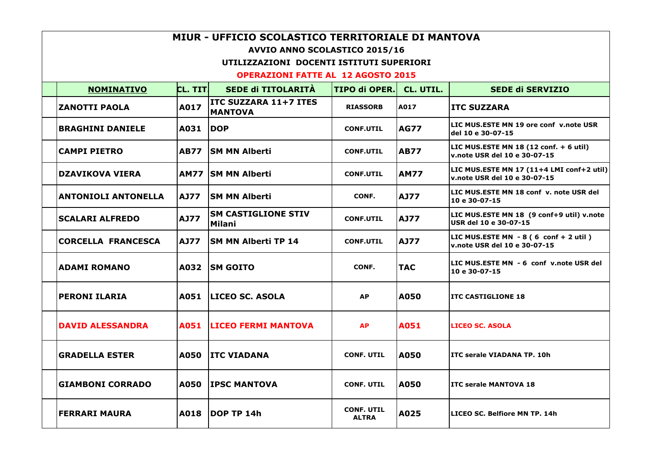| MIUR - UFFICIO SCOLASTICO TERRITORIALE DI MANTOVA |             |                                                |                                   |             |                                                                                          |  |  |
|---------------------------------------------------|-------------|------------------------------------------------|-----------------------------------|-------------|------------------------------------------------------------------------------------------|--|--|
| <b>AVVIO ANNO SCOLASTICO 2015/16</b>              |             |                                                |                                   |             |                                                                                          |  |  |
| UTILIZZAZIONI DOCENTI ISTITUTI SUPERIORI          |             |                                                |                                   |             |                                                                                          |  |  |
| <b>OPERAZIONI FATTE AL 12 AGOSTO 2015</b>         |             |                                                |                                   |             |                                                                                          |  |  |
| <b>NOMINATIVO</b>                                 | CL. TIT     | SEDE di TITOLARITÀ                             | <b>TIPO di OPER.</b>              | CL. UTIL.   | <b>SEDE di SERVIZIO</b>                                                                  |  |  |
| <b>ZANOTTI PAOLA</b>                              | A017        | <b>ITC SUZZARA 11+7 ITES</b><br><b>MANTOVA</b> | <b>RIASSORB</b>                   | A017        | <b>ITC SUZZARA</b>                                                                       |  |  |
| <b>BRAGHINI DANIELE</b>                           | A031 DOP    |                                                | <b>CONF.UTIL</b>                  | AG77        | LIC MUS.ESTE MN 19 ore conf v.note USR<br>del 10 e 30-07-15                              |  |  |
| <b>CAMPI PIETRO</b>                               | <b>AB77</b> | ISM MN Alberti                                 | <b>CONF.UTIL</b>                  | <b>AB77</b> | LIC MUS.ESTE MN 18 $(12 \text{ conf.} + 6 \text{ util})$<br>v.note USR del 10 e 30-07-15 |  |  |
| <b>DZAVIKOVA VIERA</b>                            |             | <b>AM77 ISM MN Alberti</b>                     | <b>CONF.UTIL</b>                  | <b>AM77</b> | LIC MUS.ESTE MN 17 (11+4 LMI conf+2 util)<br>v.note USR del 10 e 30-07-15                |  |  |
| <b>ANTONIOLI ANTONELLA</b>                        | AJ77        | ISM MN Alberti                                 | CONF.                             | <b>AJ77</b> | LIC MUS.ESTE MN 18 conf v. note USR del<br>10 e 30-07-15                                 |  |  |
| <b>SCALARI ALFREDO</b>                            | <b>AJ77</b> | <b>SM CASTIGLIONE STIV</b><br>Milani           | <b>CONF.UTIL</b>                  | <b>AJ77</b> | LIC MUS.ESTE MN 18 (9 conf+9 util) v.note<br>USR del 10 e 30-07-15                       |  |  |
| <b>CORCELLA FRANCESCA</b>                         | AJ77        | <b>ISM MN Alberti TP 14</b>                    | <b>CONF.UTIL</b>                  | <b>AJ77</b> | LIC MUS.ESTE MN - 8 (6 conf + 2 util)<br>v.note USR del 10 e 30-07-15                    |  |  |
| <b>ADAMI ROMANO</b>                               | A032        | <b>SM GOITO</b>                                | CONF.                             | <b>TAC</b>  | LIC MUS.ESTE MN - 6 conf v.note USR del<br>10 e 30-07-15                                 |  |  |
| <b>PERONI ILARIA</b>                              | A051        | <b>ILICEO SC. ASOLA</b>                        | <b>AP</b>                         | A050        | <b>ITC CASTIGLIONE 18</b>                                                                |  |  |
| <b>DAVID ALESSANDRA</b>                           | A051        | <b>LICEO FERMI MANTOVA</b>                     | <b>AP</b>                         | A051        | <b>LICEO SC. ASOLA</b>                                                                   |  |  |
| <b>GRADELLA ESTER</b>                             | A050        | <b>ITC VIADANA</b>                             | <b>CONF. UTIL</b>                 | A050        | ITC serale VIADANA TP. 10h                                                               |  |  |
| <b>GIAMBONI CORRADO</b>                           | A050        | <b>IPSC MANTOVA</b>                            | <b>CONF. UTIL</b>                 | <b>A050</b> | <b>ITC serale MANTOVA 18</b>                                                             |  |  |
| <b>FERRARI MAURA</b>                              | A018        | <b>IDOP TP 14h</b>                             | <b>CONF. UTIL</b><br><b>ALTRA</b> | A025        | LICEO SC. Belfiore MN TP. 14h                                                            |  |  |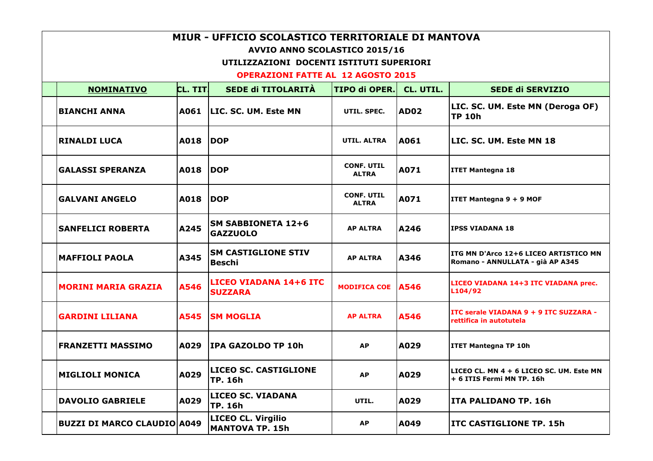| MIUR - UFFICIO SCOLASTICO TERRITORIALE DI MANTOVA |         |                                                     |                                   |             |                                                                           |  |  |
|---------------------------------------------------|---------|-----------------------------------------------------|-----------------------------------|-------------|---------------------------------------------------------------------------|--|--|
| <b>AVVIO ANNO SCOLASTICO 2015/16</b>              |         |                                                     |                                   |             |                                                                           |  |  |
| UTILIZZAZIONI DOCENTI ISTITUTI SUPERIORI          |         |                                                     |                                   |             |                                                                           |  |  |
| <b>OPERAZIONI FATTE AL 12 AGOSTO 2015</b>         |         |                                                     |                                   |             |                                                                           |  |  |
| <b>NOMINATIVO</b>                                 | CL. TIT | <b>SEDE di TITOLARITÀ</b>                           | <b>TIPO di OPER.</b>              | CL. UTIL.   | <b>SEDE di SERVIZIO</b>                                                   |  |  |
| <b>BIANCHI ANNA</b>                               | A061    | <b>LIC. SC. UM. Este MN</b>                         | UTIL. SPEC.                       | AD02        | LIC. SC. UM. Este MN (Deroga OF)<br><b>TP 10h</b>                         |  |  |
| <b>RINALDI LUCA</b>                               | A018    | <b>DOP</b>                                          | UTIL. ALTRA                       | <b>A061</b> | LIC. SC. UM. Este MN 18                                                   |  |  |
| <b>GALASSI SPERANZA</b>                           | A018    | <b>IDOP</b>                                         | <b>CONF. UTIL</b><br><b>ALTRA</b> | A071        | <b>ITET Mantegna 18</b>                                                   |  |  |
| <b>GALVANI ANGELO</b>                             | A018    | <b>DOP</b>                                          | <b>CONF. UTIL</b><br><b>ALTRA</b> | A071        | <b>ITET Mantegna 9 + 9 MOF</b>                                            |  |  |
| <b>SANFELICI ROBERTA</b>                          | A245    | <b>SM SABBIONETA 12+6</b><br><b>GAZZUOLO</b>        | <b>AP ALTRA</b>                   | <b>A246</b> | <b>IPSS VIADANA 18</b>                                                    |  |  |
| <b>MAFFIOLI PAOLA</b>                             | A345    | <b>ISM CASTIGLIONE STIV</b><br><b>Beschi</b>        | <b>AP ALTRA</b>                   | A346        | ITG MN D'Arco 12+6 LICEO ARTISTICO MN<br>Romano - ANNULLATA - già AP A345 |  |  |
| <b>MORINI MARIA GRAZIA</b>                        | A546    | <b>LICEO VIADANA 14+6 ITC</b><br><b>SUZZARA</b>     | MODIFICA COE   A546               |             | LICEO VIADANA 14+3 ITC VIADANA prec.<br>L104/92                           |  |  |
| <b>GARDINI LILIANA</b>                            | A545    | <b>SM MOGLIA</b>                                    | <b>AP ALTRA</b>                   | A546        | ITC serale VIADANA 9 + 9 ITC SUZZARA -<br>rettifica in autotutela         |  |  |
| <b>FRANZETTI MASSIMO</b>                          | A029    | <b>IPA GAZOLDO TP 10h</b>                           | <b>AP</b>                         | A029        | <b>ITET Mantegna TP 10h</b>                                               |  |  |
| <b>MIGLIOLI MONICA</b>                            | A029    | <b>LICEO SC. CASTIGLIONE</b><br> TP. 16h            | <b>AP</b>                         | A029        | LICEO CL. MN 4 + 6 LICEO SC. UM. Este MN<br>+ 6 ITIS Fermi MN TP. 16h     |  |  |
| <b>DAVOLIO GABRIELE</b>                           | A029    | <b>LICEO SC. VIADANA</b><br> TP. 16h                | UTIL.                             | A029        | ITA PALIDANO TP. 16h                                                      |  |  |
| <b>BUZZI DI MARCO CLAUDIO A049</b>                |         | <b>LICEO CL. Virgilio</b><br><b>MANTOVA TP. 15h</b> | <b>AP</b>                         | A049        | <b>ITC CASTIGLIONE TP. 15h</b>                                            |  |  |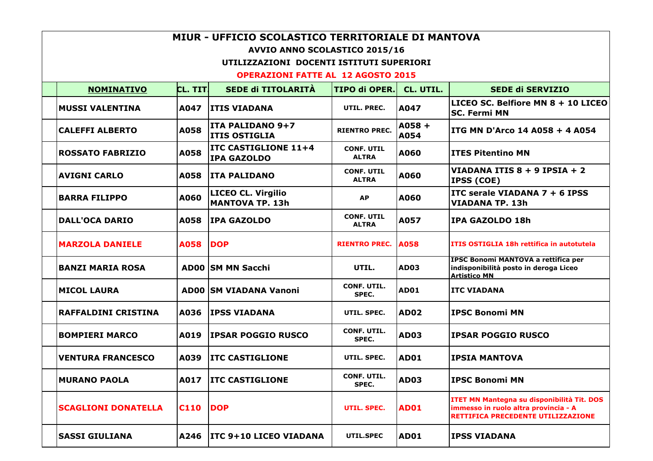| MIUR - UFFICIO SCOLASTICO TERRITORIALE DI MANTOVA |             |                                                     |                                   |                  |                                                                                                                                 |  |  |
|---------------------------------------------------|-------------|-----------------------------------------------------|-----------------------------------|------------------|---------------------------------------------------------------------------------------------------------------------------------|--|--|
| AVVIO ANNO SCOLASTICO 2015/16                     |             |                                                     |                                   |                  |                                                                                                                                 |  |  |
| UTILIZZAZIONI DOCENTI ISTITUTI SUPERIORI          |             |                                                     |                                   |                  |                                                                                                                                 |  |  |
| <b>OPERAZIONI FATTE AL 12 AGOSTO 2015</b>         |             |                                                     |                                   |                  |                                                                                                                                 |  |  |
| <b>NOMINATIVO</b>                                 | CL. TITI    | <b>SEDE di TITOLARITÀ</b>                           | <b>TIPO di OPER.</b>              | CL. UTIL.        | <b>SEDE di SERVIZIO</b>                                                                                                         |  |  |
| <b>MUSSI VALENTINA</b>                            | A047        | <b>ITIS VIADANA</b>                                 | UTIL. PREC.                       | A047             | LICEO SC. Belfiore MN 8 + 10 LICEO<br><b>SC. Fermi MN</b>                                                                       |  |  |
| <b>CALEFFI ALBERTO</b>                            | A058        | ITA PALIDANO 9+7<br><b>ITIS OSTIGLIA</b>            | <b>RIENTRO PREC.</b>              | $A058 +$<br>A054 | ITG MN D'Arco 14 A058 + 4 A054                                                                                                  |  |  |
| <b>ROSSATO FABRIZIO</b>                           | A058        | <b>ITC CASTIGLIONE 11+4</b><br><b>IPA GAZOLDO</b>   | <b>CONF. UTIL</b><br><b>ALTRA</b> | A060             | <b>ITES Pitentino MN</b>                                                                                                        |  |  |
| <b>AVIGNI CARLO</b>                               | A058        | <b>ITA PALIDANO</b>                                 | <b>CONF. UTIL</b><br><b>ALTRA</b> | A060             | VIADANA ITIS 8 + 9 IPSIA + 2<br><b>IPSS (COE)</b>                                                                               |  |  |
| <b>BARRA FILIPPO</b>                              | A060        | <b>LICEO CL. Virgilio</b><br><b>MANTOVA TP. 13h</b> | <b>AP</b>                         | A060             | ITC serale VIADANA $7 + 6$ IPSS<br><b>VIADANA TP. 13h</b>                                                                       |  |  |
| <b>DALL'OCA DARIO</b>                             | A058        | <b>IPA GAZOLDO</b>                                  | <b>CONF. UTIL</b><br><b>ALTRA</b> | A057             | IPA GAZOLDO 18h                                                                                                                 |  |  |
| <b>MARZOLA DANIELE</b>                            | A058        | <b>DOP</b>                                          | <b>RIENTRO PREC.</b>              | A058             | ITIS OSTIGLIA 18h rettifica in autotutela                                                                                       |  |  |
| <b>BANZI MARIA ROSA</b>                           |             | <b>AD00 SM MN Sacchi</b>                            | UTIL.                             | <b>AD03</b>      | IPSC Bonomi MANTOVA a rettifica per<br>indisponibilità posto in deroga Liceo<br><b>Artistico MN</b>                             |  |  |
| <b>MICOL LAURA</b>                                |             | <b>ADOO SM VIADANA Vanoni</b>                       | <b>CONF. UTIL.</b><br>SPEC.       | <b>AD01</b>      | <b>ITC VIADANA</b>                                                                                                              |  |  |
| <b>RAFFALDINI CRISTINA</b>                        | A036        | <b>IPSS VIADANA</b>                                 | UTIL. SPEC.                       | <b>AD02</b>      | <b>IPSC Bonomi MN</b>                                                                                                           |  |  |
| <b>BOMPIERI MARCO</b>                             | A019        | <b>IPSAR POGGIO RUSCO</b>                           | <b>CONF. UTIL.</b><br>SPEC.       | <b>AD03</b>      | <b>IPSAR POGGIO RUSCO</b>                                                                                                       |  |  |
| <b>VENTURA FRANCESCO</b>                          | A039        | <b>ITC CASTIGLIONE</b>                              | UTIL. SPEC.                       | AD01             | <b>IPSIA MANTOVA</b>                                                                                                            |  |  |
| <b>MURANO PAOLA</b>                               | A017        | <b>ITC CASTIGLIONE</b>                              | CONF. UTIL.<br>SPEC.              | <b>AD03</b>      | <b>IPSC Bonomi MN</b>                                                                                                           |  |  |
| <b>SCAGLIONI DONATELLA</b>                        | <b>C110</b> | <b>DOP</b>                                          | UTIL. SPEC.                       | <b>AD01</b>      | ITET MN Mantegna su disponibilità Tit. DOS<br>immesso in ruolo altra provincia - A<br><b>RETTIFICA PRECEDENTE UTILIZZAZIONE</b> |  |  |
| <b>SASSI GIULIANA</b>                             | A246        | <b>ITC 9+10 LICEO VIADANA</b>                       | UTIL.SPEC                         | <b>AD01</b>      | <b>IPSS VIADANA</b>                                                                                                             |  |  |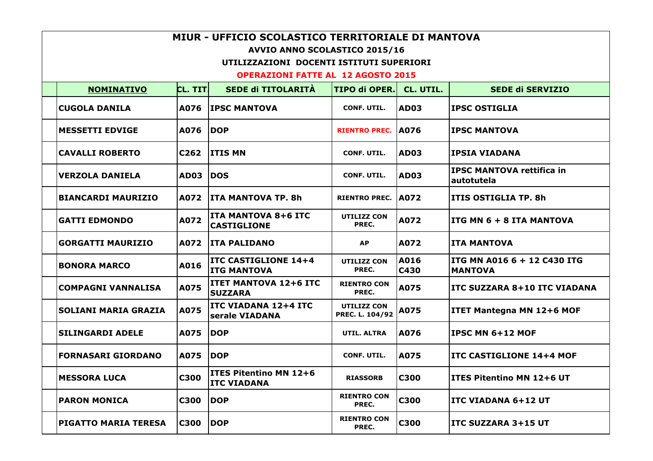| MIUR - UFFICIO SCOLASTICO TERRITORIALE DI MANTOVA                         |                  |                                                     |                                       |              |                                                |  |  |
|---------------------------------------------------------------------------|------------------|-----------------------------------------------------|---------------------------------------|--------------|------------------------------------------------|--|--|
| AVVIO ANNO SCOLASTICO 2015/16<br>UTILIZZAZIONI DOCENTI ISTITUTI SUPERIORI |                  |                                                     |                                       |              |                                                |  |  |
| <b>OPERAZIONI FATTE AL 12 AGOSTO 2015</b>                                 |                  |                                                     |                                       |              |                                                |  |  |
| <b>NOMINATIVO</b>                                                         | <b>CL. TITI</b>  | SEDE di TITOLARITÀ                                  | <b>TIPO di OPER.</b>                  | CL. UTIL.    | <b>SEDE di SERVIZIO</b>                        |  |  |
| <b>CUGOLA DANILA</b>                                                      | A076             | <b>IPSC MANTOVA</b>                                 | <b>CONF. UTIL.</b>                    | AD03         | <b>IPSC OSTIGLIA</b>                           |  |  |
| <b>MESSETTI EDVIGE</b>                                                    | A076             | <b>DOP</b>                                          | <b>RIENTRO PREC.</b>                  | <b>A076</b>  | <b>IPSC MANTOVA</b>                            |  |  |
| <b>CAVALLI ROBERTO</b>                                                    | C <sub>262</sub> | <b>ITIS MN</b>                                      | <b>CONF. UTIL.</b>                    | IAD03        | <b>IPSIA VIADANA</b>                           |  |  |
| <b>VERZOLA DANIELA</b>                                                    | <b>AD03</b>      | <b>IDOS</b>                                         | <b>CONF. UTIL.</b>                    | AD03         | <b>IPSC MANTOVA rettifica in</b><br>autotutela |  |  |
| <b>BIANCARDI MAURIZIO</b>                                                 | <b>A072</b>      | <b>ITA MANTOVA TP. 8h</b>                           | <b>RIENTRO PREC. A072</b>             |              | ITIS OSTIGLIA TP. 8h                           |  |  |
| <b>GATTI EDMONDO</b>                                                      | A072             | <b>ITA MANTOVA 8+6 ITC</b><br><b>CASTIGLIONE</b>    | <b>UTILIZZ CON</b><br>PREC.           | A072         | ITG MN 6 + 8 ITA MANTOVA                       |  |  |
| <b>GORGATTI MAURIZIO</b>                                                  | A072             | <b>ITA PALIDANO</b>                                 | <b>AP</b>                             | A072         | <b>ITA MANTOVA</b>                             |  |  |
| <b>BONORA MARCO</b>                                                       | A016             | <b>ITC CASTIGLIONE 14+4</b><br><b>ITG MANTOVA</b>   | <b>UTILIZZ CON</b><br>PREC.           | A016<br>C430 | ITG MN A016 6 + 12 C430 ITG<br><b>MANTOVA</b>  |  |  |
| <b>COMPAGNI VANNALISA</b>                                                 | A075             | <b>ITET MANTOVA 12+6 ITC</b><br><b>SUZZARA</b>      | <b>RIENTRO CON</b><br>PREC.           | A075         | <b>ITC SUZZARA 8+10 ITC VIADANA</b>            |  |  |
| <b>SOLIANI MARIA GRAZIA</b>                                               | A075             | <b>ITC VIADANA 12+4 ITC</b><br>serale VIADANA       | <b>UTILIZZ CON</b><br>PREC. L. 104/92 | A075         | <b>ITET Mantegna MN 12+6 MOF</b>               |  |  |
| <b>SILINGARDI ADELE</b>                                                   | A075             | <b>DOP</b>                                          | UTIL. ALTRA                           | A076         | <b>IPSC MN 6+12 MOF</b>                        |  |  |
| <b>FORNASARI GIORDANO</b>                                                 | A075             | <b>DOP</b>                                          | <b>CONF. UTIL.</b>                    | A075         | <b>ITC CASTIGLIONE 14+4 MOF</b>                |  |  |
| <b>MESSORA LUCA</b>                                                       | <b>C300</b>      | <b>ITES Pitentino MN 12+6</b><br><b>ITC VIADANA</b> | <b>RIASSORB</b>                       | C300         | ITES Pitentino MN 12+6 UT                      |  |  |
| <b>PARON MONICA</b>                                                       | C300             | <b>DOP</b>                                          | <b>RIENTRO CON</b><br>PREC.           | <b>C300</b>  | <b>ITC VIADANA 6+12 UT</b>                     |  |  |
| <b>PIGATTO MARIA TERESA</b>                                               | <b>C300</b>      | <b>DOP</b>                                          | <b>RIENTRO CON</b><br>PREC.           | <b>C300</b>  | <b>ITC SUZZARA 3+15 UT</b>                     |  |  |